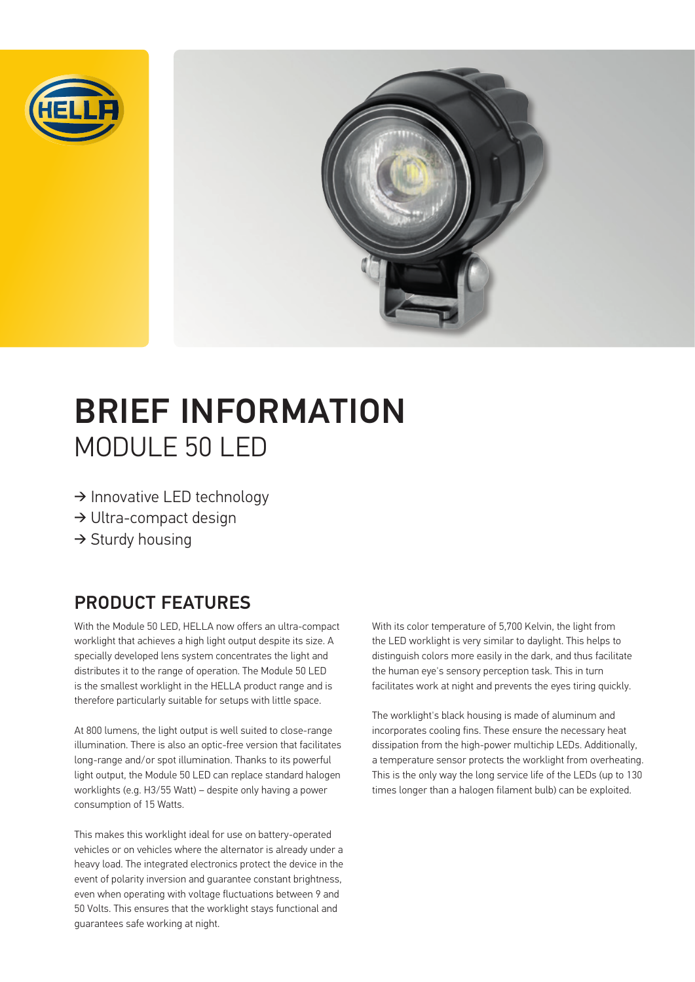



# BRIEF INFORMATION MODULE 50 LED

- ➔ Innovative LED technology
- ➔ Ultra-compact design
- $\rightarrow$  Sturdy housing

#### PRODUCT FEATURES

With the Module 50 LED, HELLA now offers an ultra-compact worklight that achieves a high light output despite its size. A specially developed lens system concentrates the light and distributes it to the range of operation. The Module 50 LED is the smallest worklight in the HELLA product range and is therefore particularly suitable for setups with little space.

At 800 lumens, the light output is well suited to close-range illumination. There is also an optic-free version that facilitates long-range and/or spot illumination. Thanks to its powerful light output, the Module 50 LED can replace standard halogen worklights (e.g. H3/55 Watt) – despite only having a power consumption of 15 Watts.

This makes this worklight ideal for use on battery-operated vehicles or on vehicles where the alternator is already under a heavy load. The integrated electronics protect the device in the event of polarity inversion and guarantee constant brightness, even when operating with voltage fluctuations between 9 and 50 Volts. This ensures that the worklight stays functional and guarantees safe working at night.

With its color temperature of 5,700 Kelvin, the light from the LED worklight is very similar to daylight. This helps to distinguish colors more easily in the dark, and thus facilitate the human eye's sensory perception task. This in turn facilitates work at night and prevents the eyes tiring quickly.

The worklight's black housing is made of aluminum and incorporates cooling fins. These ensure the necessary heat dissipation from the high-power multichip LEDs. Additionally, a temperature sensor protects the worklight from overheating. This is the only way the long service life of the LEDs (up to 130 times longer than a halogen filament bulb) can be exploited.